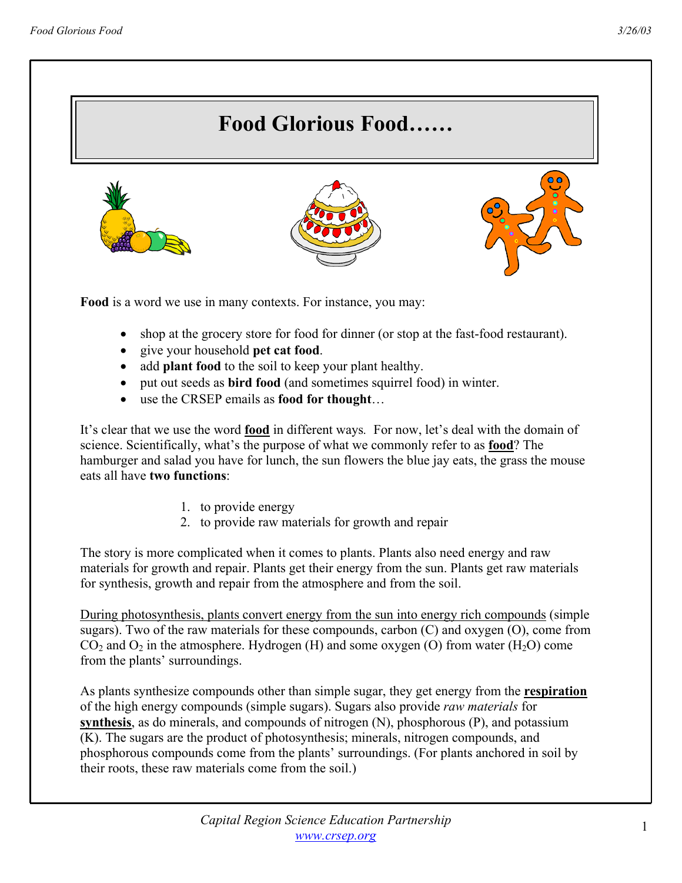

- give your household **pet cat food**.
- add **plant food** to the soil to keep your plant healthy.
- put out seeds as **bird food** (and sometimes squirrel food) in winter.
- use the CRSEP emails as **food for thought**…

It's clear that we use the word **food** in different ways*.* For now, let's deal with the domain of science. Scientifically, what's the purpose of what we commonly refer to as **food**? The hamburger and salad you have for lunch, the sun flowers the blue jay eats, the grass the mouse eats all have **two functions**:

- 1. to provide energy
- 2. to provide raw materials for growth and repair

The story is more complicated when it comes to plants. Plants also need energy and raw materials for growth and repair. Plants get their energy from the sun. Plants get raw materials for synthesis, growth and repair from the atmosphere and from the soil.

During photosynthesis, plants convert energy from the sun into energy rich compounds (simple sugars). Two of the raw materials for these compounds, carbon (C) and oxygen (O), come from  $CO<sub>2</sub>$  and  $O<sub>2</sub>$  in the atmosphere. Hydrogen (H) and some oxygen (O) from water (H<sub>2</sub>O) come from the plants' surroundings.

As plants synthesize compounds other than simple sugar, they get energy from the **respiration** of the high energy compounds (simple sugars). Sugars also provide *raw materials* for **synthesis**, as do minerals, and compounds of nitrogen (N), phosphorous (P), and potassium (K). The sugars are the product of photosynthesis; minerals, nitrogen compounds, and phosphorous compounds come from the plants' surroundings. (For plants anchored in soil by their roots, these raw materials come from the soil.)